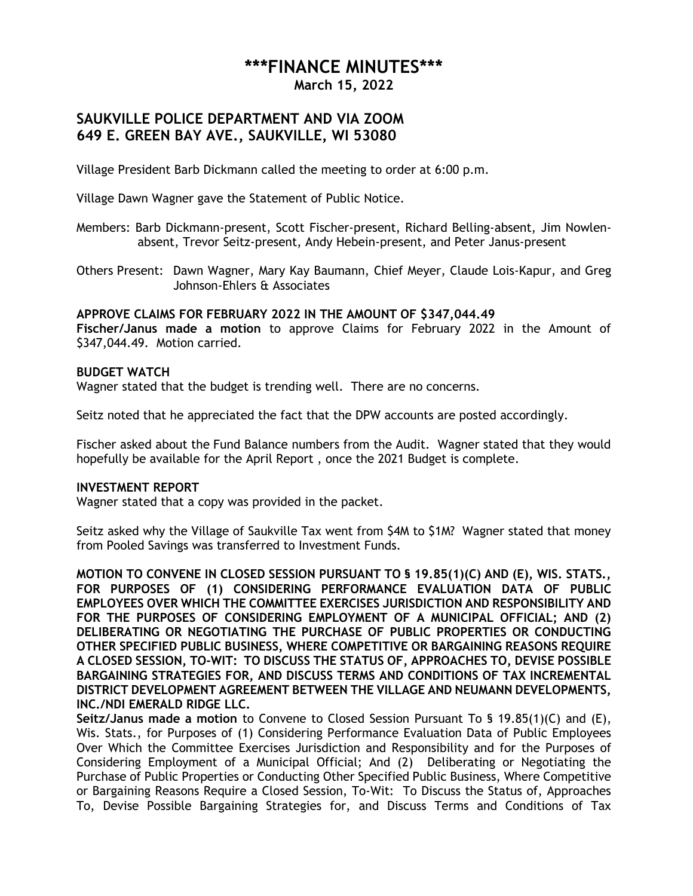# **\*\*\*FINANCE MINUTES\*\*\***

**March 15, 2022**

## **SAUKVILLE POLICE DEPARTMENT AND VIA ZOOM 649 E. GREEN BAY AVE., SAUKVILLE, WI 53080**

Village President Barb Dickmann called the meeting to order at 6:00 p.m.

Village Dawn Wagner gave the Statement of Public Notice.

Members: Barb Dickmann-present, Scott Fischer-present, Richard Belling-absent, Jim Nowlenabsent, Trevor Seitz-present, Andy Hebein-present, and Peter Janus-present

Others Present: Dawn Wagner, Mary Kay Baumann, Chief Meyer, Claude Lois-Kapur, and Greg Johnson-Ehlers & Associates

# **APPROVE CLAIMS FOR FEBRUARY 2022 IN THE AMOUNT OF \$347,044.49**

**Fischer/Janus made a motion** to approve Claims for February 2022 in the Amount of \$347,044.49. Motion carried.

### **BUDGET WATCH**

Wagner stated that the budget is trending well. There are no concerns.

Seitz noted that he appreciated the fact that the DPW accounts are posted accordingly.

Fischer asked about the Fund Balance numbers from the Audit. Wagner stated that they would hopefully be available for the April Report , once the 2021 Budget is complete.

#### **INVESTMENT REPORT**

Wagner stated that a copy was provided in the packet.

Seitz asked why the Village of Saukville Tax went from \$4M to \$1M? Wagner stated that money from Pooled Savings was transferred to Investment Funds.

**MOTION TO CONVENE IN CLOSED SESSION PURSUANT TO § 19.85(1)(C) AND (E), WIS. STATS., FOR PURPOSES OF (1) CONSIDERING PERFORMANCE EVALUATION DATA OF PUBLIC EMPLOYEES OVER WHICH THE COMMITTEE EXERCISES JURISDICTION AND RESPONSIBILITY AND FOR THE PURPOSES OF CONSIDERING EMPLOYMENT OF A MUNICIPAL OFFICIAL; AND (2) DELIBERATING OR NEGOTIATING THE PURCHASE OF PUBLIC PROPERTIES OR CONDUCTING OTHER SPECIFIED PUBLIC BUSINESS, WHERE COMPETITIVE OR BARGAINING REASONS REQUIRE A CLOSED SESSION, TO-WIT: TO DISCUSS THE STATUS OF, APPROACHES TO, DEVISE POSSIBLE BARGAINING STRATEGIES FOR, AND DISCUSS TERMS AND CONDITIONS OF TAX INCREMENTAL DISTRICT DEVELOPMENT AGREEMENT BETWEEN THE VILLAGE AND NEUMANN DEVELOPMENTS, INC./NDI EMERALD RIDGE LLC.**

**Seitz/Janus made a motion** to Convene to Closed Session Pursuant To § 19.85(1)(C) and (E), Wis. Stats., for Purposes of (1) Considering Performance Evaluation Data of Public Employees Over Which the Committee Exercises Jurisdiction and Responsibility and for the Purposes of Considering Employment of a Municipal Official; And (2) Deliberating or Negotiating the Purchase of Public Properties or Conducting Other Specified Public Business, Where Competitive or Bargaining Reasons Require a Closed Session, To-Wit: To Discuss the Status of, Approaches To, Devise Possible Bargaining Strategies for, and Discuss Terms and Conditions of Tax